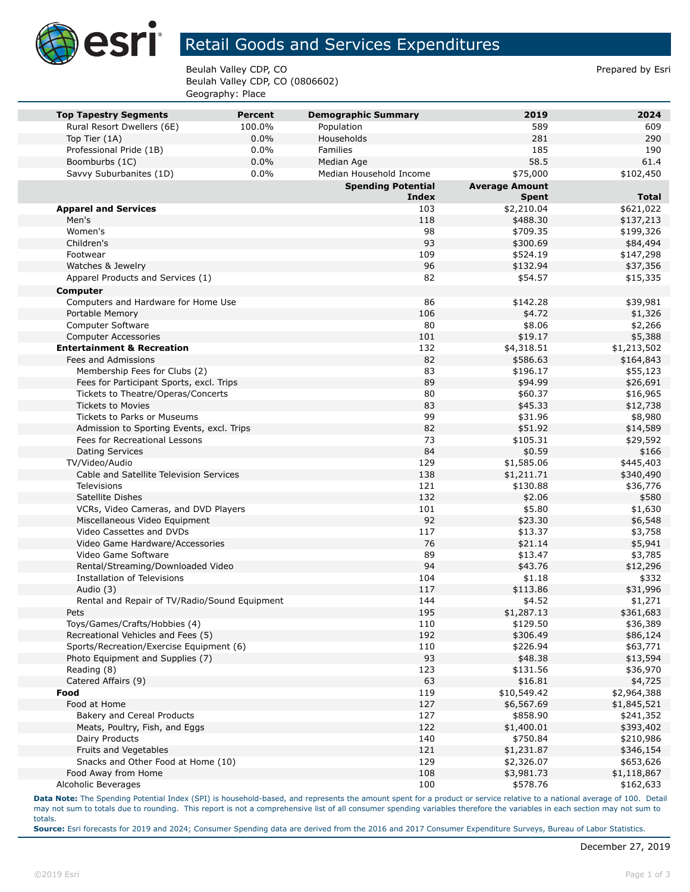

## Retail Goods and Services Expenditures

Beulah Valley CDP, CO **Prepared by Estimate Struck CDP, CO** Prepared by Esri Beulah Valley CDP, CO (0806602) Geography: Place

|                                                            | <b>Percent</b> |                                          | 2019                     | 2024                   |
|------------------------------------------------------------|----------------|------------------------------------------|--------------------------|------------------------|
| <b>Top Tapestry Segments</b><br>Rural Resort Dwellers (6E) | 100.0%         | <b>Demographic Summary</b><br>Population | 589                      | 609                    |
| Top Tier (1A)                                              | 0.0%           | Households                               | 281                      | 290                    |
| Professional Pride (1B)                                    | 0.0%           | Families                                 | 185                      | 190                    |
| Boomburbs (1C)                                             | 0.0%           | Median Age                               | 58.5                     | 61.4                   |
| Savvy Suburbanites (1D)                                    | 0.0%           | Median Household Income                  | \$75,000                 | \$102,450              |
|                                                            |                | <b>Spending Potential</b>                | <b>Average Amount</b>    |                        |
|                                                            |                | <b>Index</b>                             | <b>Spent</b>             | <b>Total</b>           |
| <b>Apparel and Services</b>                                |                | 103                                      | \$2,210.04               | \$621,022              |
| Men's                                                      |                | 118                                      | \$488.30                 | \$137,213              |
| Women's                                                    |                | 98                                       | \$709.35                 | \$199,326              |
| Children's                                                 |                | 93                                       | \$300.69                 | \$84,494               |
| Footwear                                                   |                | 109                                      | \$524.19                 | \$147,298              |
| Watches & Jewelry                                          |                | 96                                       | \$132.94                 | \$37,356               |
| Apparel Products and Services (1)                          |                | 82                                       | \$54.57                  | \$15,335               |
| Computer                                                   |                |                                          |                          |                        |
| Computers and Hardware for Home Use                        |                | 86                                       | \$142.28                 | \$39,981               |
| Portable Memory                                            |                | 106                                      | \$4.72                   | \$1,326                |
| Computer Software                                          |                | 80                                       | \$8.06                   | \$2,266                |
| <b>Computer Accessories</b>                                |                | 101                                      | \$19.17                  | \$5,388                |
| <b>Entertainment &amp; Recreation</b>                      |                | 132                                      | \$4,318.51               | \$1,213,502            |
| Fees and Admissions                                        |                | 82                                       | \$586.63                 | \$164,843              |
| Membership Fees for Clubs (2)                              |                | 83                                       | \$196.17                 | \$55,123               |
| Fees for Participant Sports, excl. Trips                   |                | 89                                       | \$94.99                  | \$26,691               |
| Tickets to Theatre/Operas/Concerts                         |                | 80                                       | \$60.37                  | \$16,965               |
| <b>Tickets to Movies</b>                                   |                | 83                                       | \$45.33                  | \$12,738               |
| Tickets to Parks or Museums                                |                | 99                                       | \$31.96                  | \$8,980                |
| Admission to Sporting Events, excl. Trips                  |                | 82<br>73                                 | \$51.92                  | \$14,589               |
| Fees for Recreational Lessons                              |                |                                          | \$105.31                 | \$29,592               |
| Dating Services<br>TV/Video/Audio                          |                | 84<br>129                                | \$0.59                   | \$166                  |
| Cable and Satellite Television Services                    |                | 138                                      | \$1,585.06<br>\$1,211.71 | \$445,403<br>\$340,490 |
| Televisions                                                |                | 121                                      | \$130.88                 | \$36,776               |
| Satellite Dishes                                           |                | 132                                      | \$2.06                   | \$580                  |
| VCRs, Video Cameras, and DVD Players                       |                | 101                                      | \$5.80                   | \$1,630                |
| Miscellaneous Video Equipment                              |                | 92                                       | \$23.30                  | \$6,548                |
| Video Cassettes and DVDs                                   |                | 117                                      | \$13.37                  | \$3,758                |
| Video Game Hardware/Accessories                            |                | 76                                       | \$21.14                  | \$5,941                |
| Video Game Software                                        |                | 89                                       | \$13.47                  | \$3,785                |
| Rental/Streaming/Downloaded Video                          |                | 94                                       | \$43.76                  | \$12,296               |
| Installation of Televisions                                |                | 104                                      | \$1.18                   | \$332                  |
| Audio (3)                                                  |                | 117                                      | \$113.86                 | \$31,996               |
| Rental and Repair of TV/Radio/Sound Equipment              |                | 144                                      | \$4.52                   | \$1,271                |
| Pets                                                       |                | 195                                      | \$1,287.13               | \$361,683              |
| Toys/Games/Crafts/Hobbies (4)                              |                | 110                                      | \$129.50                 | \$36,389               |
| Recreational Vehicles and Fees (5)                         |                | 192                                      | \$306.49                 | \$86,124               |
| Sports/Recreation/Exercise Equipment (6)                   |                | 110                                      | \$226.94                 | \$63,771               |
| Photo Equipment and Supplies (7)                           |                | 93                                       | \$48.38                  | \$13,594               |
| Reading (8)                                                |                | 123                                      | \$131.56                 | \$36,970               |
| Catered Affairs (9)                                        |                | 63                                       | \$16.81                  | \$4,725                |
| Food                                                       |                | 119                                      | \$10,549.42              | \$2,964,388            |
| Food at Home                                               |                | 127                                      | \$6,567.69               | \$1,845,521            |
| Bakery and Cereal Products                                 |                | 127                                      | \$858.90                 | \$241,352              |
| Meats, Poultry, Fish, and Eggs                             |                | 122                                      | \$1,400.01               | \$393,402              |
| Dairy Products                                             |                | 140                                      | \$750.84                 | \$210,986              |
| Fruits and Vegetables                                      |                | 121                                      | \$1,231.87               | \$346,154              |
| Snacks and Other Food at Home (10)                         |                | 129                                      | \$2,326.07               | \$653,626              |
| Food Away from Home                                        |                | 108                                      | \$3,981.73               | \$1,118,867            |
| Alcoholic Beverages                                        |                | 100                                      | \$578.76                 | \$162,633              |

**Data Note:** The Spending Potential Index (SPI) is household-based, and represents the amount spent for a product or service relative to a national average of 100. Detail may not sum to totals due to rounding. This report is not a comprehensive list of all consumer spending variables therefore the variables in each section may not sum to totals.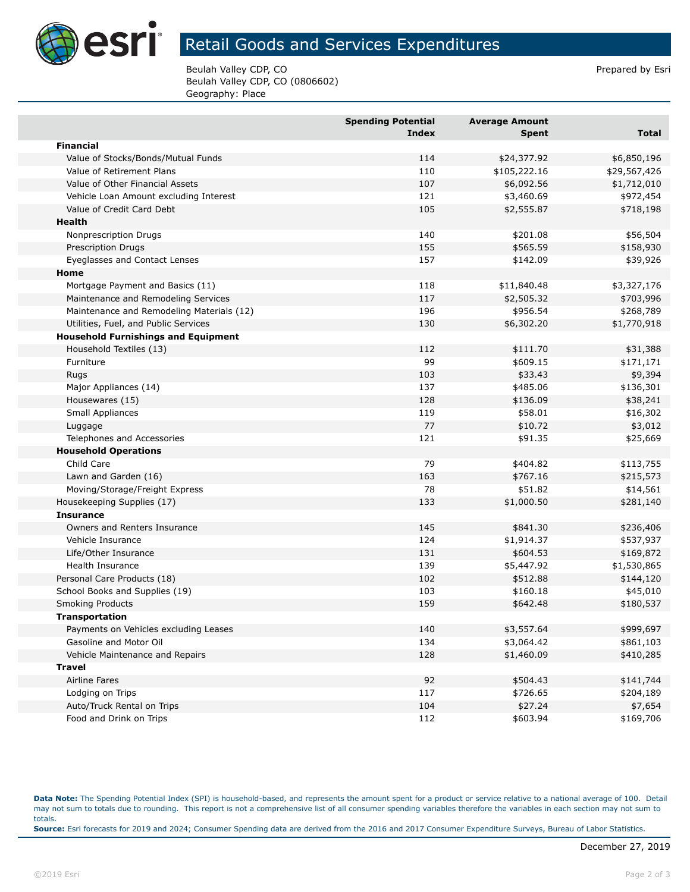

## Retail Goods and Services Expenditures

Beulah Valley CDP, CO **Prepared by Estimate Struck CDP, CO** Prepared by Esri Beulah Valley CDP, CO (0806602) Geography: Place

|                                            | <b>Spending Potential</b><br>Index | <b>Average Amount</b><br>Spent | <b>Total</b> |
|--------------------------------------------|------------------------------------|--------------------------------|--------------|
| <b>Financial</b>                           |                                    |                                |              |
| Value of Stocks/Bonds/Mutual Funds         | 114                                | \$24,377.92                    | \$6,850,196  |
| Value of Retirement Plans                  | 110                                | \$105,222.16                   | \$29,567,426 |
| Value of Other Financial Assets            | 107                                | \$6,092.56                     | \$1,712,010  |
| Vehicle Loan Amount excluding Interest     | 121                                | \$3,460.69                     | \$972,454    |
| Value of Credit Card Debt                  | 105                                | \$2,555.87                     | \$718,198    |
| <b>Health</b>                              |                                    |                                |              |
| Nonprescription Drugs                      | 140                                | \$201.08                       | \$56,504     |
| <b>Prescription Drugs</b>                  | 155                                | \$565.59                       | \$158,930    |
| Eyeglasses and Contact Lenses              | 157                                | \$142.09                       | \$39,926     |
| Home                                       |                                    |                                |              |
| Mortgage Payment and Basics (11)           | 118                                | \$11,840.48                    | \$3,327,176  |
| Maintenance and Remodeling Services        | 117                                | \$2,505.32                     | \$703,996    |
| Maintenance and Remodeling Materials (12)  | 196                                | \$956.54                       | \$268,789    |
| Utilities, Fuel, and Public Services       | 130                                | \$6,302.20                     | \$1,770,918  |
| <b>Household Furnishings and Equipment</b> |                                    |                                |              |
| Household Textiles (13)                    | 112                                | \$111.70                       | \$31,388     |
| Furniture                                  | 99                                 | \$609.15                       | \$171,171    |
| Rugs                                       | 103                                | \$33.43                        | \$9,394      |
| Major Appliances (14)                      | 137                                | \$485.06                       | \$136,301    |
| Housewares (15)                            | 128                                | \$136.09                       | \$38,241     |
| Small Appliances                           | 119                                | \$58.01                        | \$16,302     |
| Luggage                                    | 77                                 | \$10.72                        | \$3,012      |
| Telephones and Accessories                 | 121                                | \$91.35                        | \$25,669     |
| <b>Household Operations</b>                |                                    |                                |              |
| Child Care                                 | 79                                 | \$404.82                       | \$113,755    |
| Lawn and Garden (16)                       | 163                                | \$767.16                       | \$215,573    |
| Moving/Storage/Freight Express             | 78                                 | \$51.82                        | \$14,561     |
| Housekeeping Supplies (17)                 | 133                                | \$1,000.50                     | \$281,140    |
| <b>Insurance</b>                           |                                    |                                |              |
| Owners and Renters Insurance               | 145                                | \$841.30                       | \$236,406    |
| Vehicle Insurance                          | 124                                | \$1,914.37                     | \$537,937    |
| Life/Other Insurance                       | 131                                | \$604.53                       | \$169,872    |
| Health Insurance                           | 139                                | \$5,447.92                     | \$1,530,865  |
| Personal Care Products (18)                | 102                                | \$512.88                       | \$144,120    |
| School Books and Supplies (19)             | 103                                | \$160.18                       | \$45,010     |
| <b>Smoking Products</b>                    | 159                                | \$642.48                       | \$180,537    |
| <b>Transportation</b>                      |                                    |                                |              |
| Payments on Vehicles excluding Leases      | 140                                | \$3,557.64                     | \$999,697    |
| Gasoline and Motor Oil                     | 134                                | \$3,064.42                     | \$861,103    |
| Vehicle Maintenance and Repairs            | 128                                | \$1,460.09                     | \$410,285    |
| <b>Travel</b>                              |                                    |                                |              |
| <b>Airline Fares</b>                       | 92                                 | \$504.43                       | \$141,744    |
| Lodging on Trips                           | 117                                | \$726.65                       | \$204,189    |
| Auto/Truck Rental on Trips                 | 104                                | \$27.24                        | \$7,654      |
| Food and Drink on Trips                    | 112                                | \$603.94                       | \$169,706    |

**Data Note:** The Spending Potential Index (SPI) is household-based, and represents the amount spent for a product or service relative to a national average of 100. Detail may not sum to totals due to rounding. This report is not a comprehensive list of all consumer spending variables therefore the variables in each section may not sum to totals. **Source:** Esri forecasts for 2019 and 2024; Consumer Spending data are derived from the 2016 and 2017 Consumer Expenditure Surveys, Bureau of Labor Statistics.